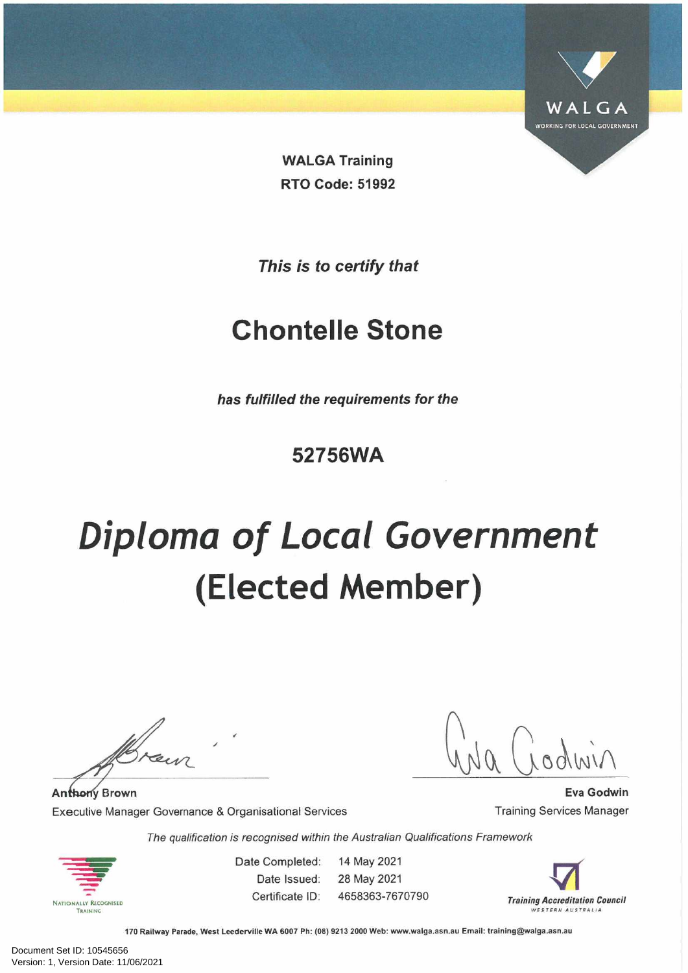

**WALGA Training RTO Code: 51992**

*This is to certify that*

## **Chontelie Stone**

*has fulfilled the requirements for the*

### **52756WA**

# *Diploma of Local Government* **(Elected Member)**

**Anthony Brown** Executive Manager Governance & Organisational Services

**Eva Godwin** Training Services Manager

*The qualification is recognised within the Australian Qualifications Framework*



Date Completed: Date Issued: Certificate ID: 14 May 2021 28 May 2021 4658363-7670790

 $\blacktriangledown$ *Training Accreditation Council WESTERN AUSTRALIA*

170 Railway Parade, West Leederville WA 6007 Ph: (08) 9213 2000 Web: [www.walga.asn.au](http://www.walga.asn.au) Email: [training@walga.asn.au](mailto:training@walga.asn.au)